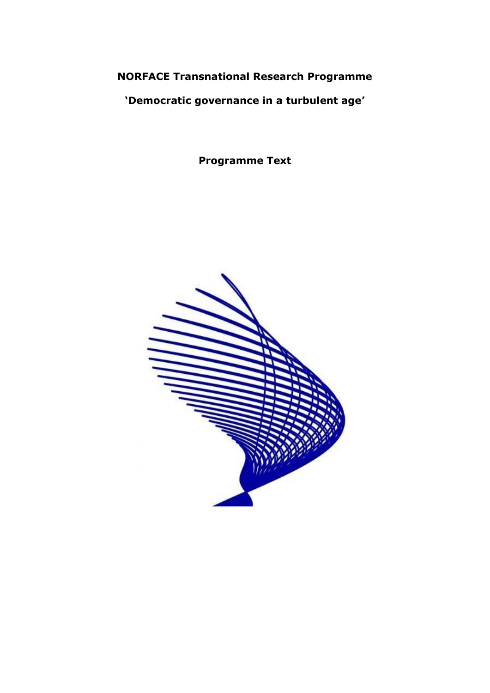**NORFACE Transnational Research Programme**

**'Democratic governance in a turbulent age'**

**Programme Text**

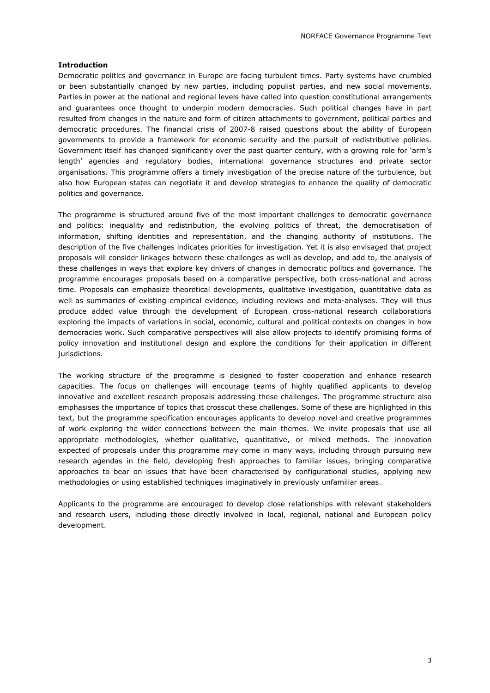# **Introduction**

Democratic politics and governance in Europe are facing turbulent times. Party systems have crumbled or been substantially changed by new parties, including populist parties, and new social movements. Parties in power at the national and regional levels have called into question constitutional arrangements and guarantees once thought to underpin modern democracies. Such political changes have in part resulted from changes in the nature and form of citizen attachments to government, political parties and democratic procedures. The financial crisis of 2007-8 raised questions about the ability of European governments to provide a framework for economic security and the pursuit of redistributive policies. Government itself has changed significantly over the past quarter century, with a growing role for 'arm's length' agencies and regulatory bodies, international governance structures and private sector organisations. This programme offers a timely investigation of the precise nature of the turbulence, but also how European states can negotiate it and develop strategies to enhance the quality of democratic politics and governance.

The programme is structured around five of the most important challenges to democratic governance and politics: inequality and redistribution, the evolving politics of threat, the democratisation of information, shifting identities and representation, and the changing authority of institutions. The description of the five challenges indicates priorities for investigation. Yet it is also envisaged that project proposals will consider linkages between these challenges as well as develop, and add to, the analysis of these challenges in ways that explore key drivers of changes in democratic politics and governance. The programme encourages proposals based on a comparative perspective, both cross-national and across time. Proposals can emphasize theoretical developments, qualitative investigation, quantitative data as well as summaries of existing empirical evidence, including reviews and meta-analyses. They will thus produce added value through the development of European cross-national research collaborations exploring the impacts of variations in social, economic, cultural and political contexts on changes in how democracies work. Such comparative perspectives will also allow projects to identify promising forms of policy innovation and institutional design and explore the conditions for their application in different jurisdictions.

The working structure of the programme is designed to foster cooperation and enhance research capacities. The focus on challenges will encourage teams of highly qualified applicants to develop innovative and excellent research proposals addressing these challenges. The programme structure also emphasises the importance of topics that crosscut these challenges. Some of these are highlighted in this text, but the programme specification encourages applicants to develop novel and creative programmes of work exploring the wider connections between the main themes. We invite proposals that use all appropriate methodologies, whether qualitative, quantitative, or mixed methods. The innovation expected of proposals under this programme may come in many ways, including through pursuing new research agendas in the field, developing fresh approaches to familiar issues, bringing comparative approaches to bear on issues that have been characterised by configurational studies, applying new methodologies or using established techniques imaginatively in previously unfamiliar areas.

Applicants to the programme are encouraged to develop close relationships with relevant stakeholders and research users, including those directly involved in local, regional, national and European policy development.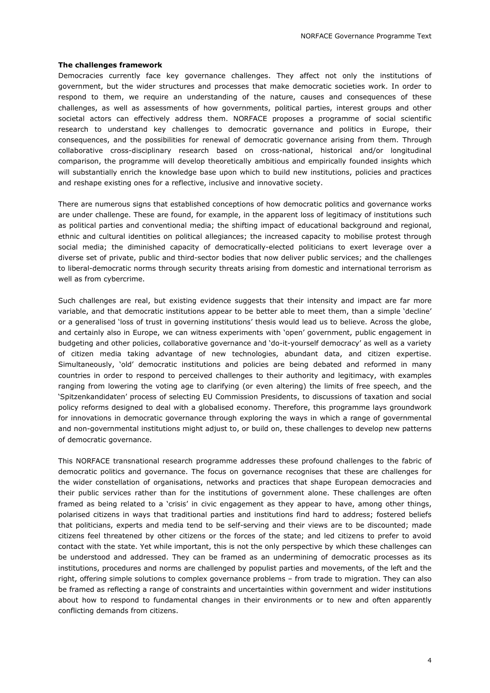# **The challenges framework**

Democracies currently face key governance challenges. They affect not only the institutions of government, but the wider structures and processes that make democratic societies work. In order to respond to them, we require an understanding of the nature, causes and consequences of these challenges, as well as assessments of how governments, political parties, interest groups and other societal actors can effectively address them. NORFACE proposes a programme of social scientific research to understand key challenges to democratic governance and politics in Europe, their consequences, and the possibilities for renewal of democratic governance arising from them. Through collaborative cross-disciplinary research based on cross-national, historical and/or longitudinal comparison, the programme will develop theoretically ambitious and empirically founded insights which will substantially enrich the knowledge base upon which to build new institutions, policies and practices and reshape existing ones for a reflective, inclusive and innovative society.

There are numerous signs that established conceptions of how democratic politics and governance works are under challenge. These are found, for example, in the apparent loss of legitimacy of institutions such as political parties and conventional media; the shifting impact of educational background and regional, ethnic and cultural identities on political allegiances; the increased capacity to mobilise protest through social media; the diminished capacity of democratically-elected politicians to exert leverage over a diverse set of private, public and third-sector bodies that now deliver public services; and the challenges to liberal-democratic norms through security threats arising from domestic and international terrorism as well as from cybercrime.

Such challenges are real, but existing evidence suggests that their intensity and impact are far more variable, and that democratic institutions appear to be better able to meet them, than a simple 'decline' or a generalised 'loss of trust in governing institutions' thesis would lead us to believe. Across the globe, and certainly also in Europe, we can witness experiments with 'open' government, public engagement in budgeting and other policies, collaborative governance and 'do-it-yourself democracy' as well as a variety of citizen media taking advantage of new technologies, abundant data, and citizen expertise. Simultaneously, 'old' democratic institutions and policies are being debated and reformed in many countries in order to respond to perceived challenges to their authority and legitimacy, with examples ranging from lowering the voting age to clarifying (or even altering) the limits of free speech, and the 'Spitzenkandidaten' process of selecting EU Commission Presidents, to discussions of taxation and social policy reforms designed to deal with a globalised economy. Therefore, this programme lays groundwork for innovations in democratic governance through exploring the ways in which a range of governmental and non-governmental institutions might adjust to, or build on, these challenges to develop new patterns of democratic governance.

This NORFACE transnational research programme addresses these profound challenges to the fabric of democratic politics and governance. The focus on governance recognises that these are challenges for the wider constellation of organisations, networks and practices that shape European democracies and their public services rather than for the institutions of government alone. These challenges are often framed as being related to a 'crisis' in civic engagement as they appear to have, among other things, polarised citizens in ways that traditional parties and institutions find hard to address; fostered beliefs that politicians, experts and media tend to be self-serving and their views are to be discounted; made citizens feel threatened by other citizens or the forces of the state; and led citizens to prefer to avoid contact with the state. Yet while important, this is not the only perspective by which these challenges can be understood and addressed. They can be framed as an undermining of democratic processes as its institutions, procedures and norms are challenged by populist parties and movements, of the left and the right, offering simple solutions to complex governance problems – from trade to migration. They can also be framed as reflecting a range of constraints and uncertainties within government and wider institutions about how to respond to fundamental changes in their environments or to new and often apparently conflicting demands from citizens.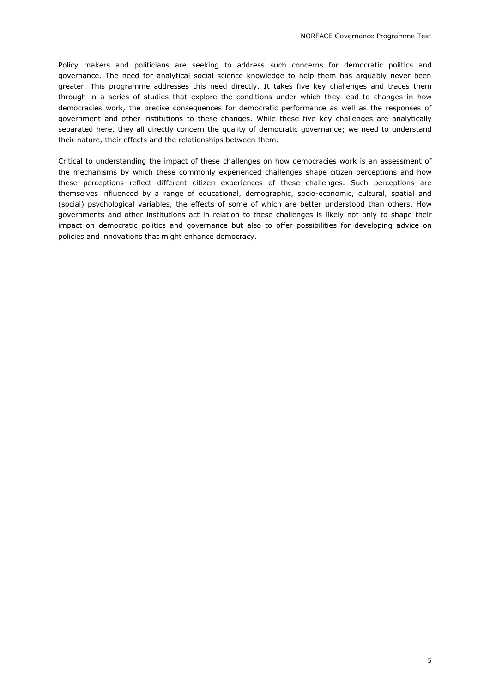Policy makers and politicians are seeking to address such concerns for democratic politics and governance. The need for analytical social science knowledge to help them has arguably never been greater. This programme addresses this need directly. It takes five key challenges and traces them through in a series of studies that explore the conditions under which they lead to changes in how democracies work, the precise consequences for democratic performance as well as the responses of government and other institutions to these changes. While these five key challenges are analytically separated here, they all directly concern the quality of democratic governance; we need to understand their nature, their effects and the relationships between them.

Critical to understanding the impact of these challenges on how democracies work is an assessment of the mechanisms by which these commonly experienced challenges shape citizen perceptions and how these perceptions reflect different citizen experiences of these challenges. Such perceptions are themselves influenced by a range of educational, demographic, socio-economic, cultural, spatial and (social) psychological variables, the effects of some of which are better understood than others. How governments and other institutions act in relation to these challenges is likely not only to shape their impact on democratic politics and governance but also to offer possibilities for developing advice on policies and innovations that might enhance democracy.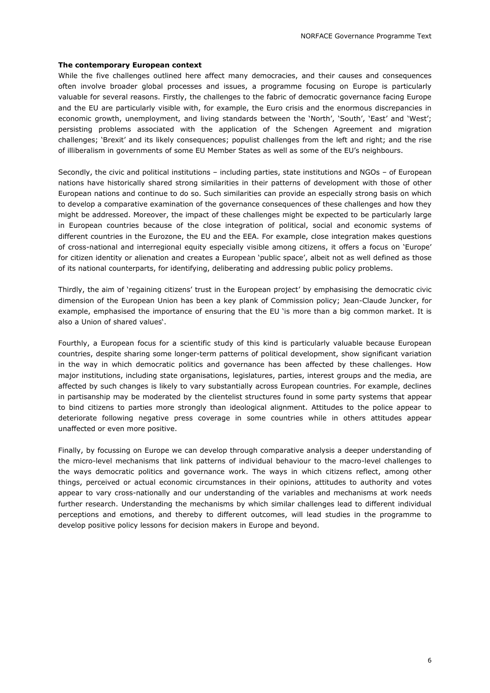# **The contemporary European context**

While the five challenges outlined here affect many democracies, and their causes and consequences often involve broader global processes and issues, a programme focusing on Europe is particularly valuable for several reasons. Firstly, the challenges to the fabric of democratic governance facing Europe and the EU are particularly visible with, for example, the Euro crisis and the enormous discrepancies in economic growth, unemployment, and living standards between the 'North', 'South', 'East' and 'West'; persisting problems associated with the application of the Schengen Agreement and migration challenges; 'Brexit' and its likely consequences; populist challenges from the left and right; and the rise of illiberalism in governments of some EU Member States as well as some of the EU's neighbours.

Secondly, the civic and political institutions – including parties, state institutions and NGOs – of European nations have historically shared strong similarities in their patterns of development with those of other European nations and continue to do so. Such similarities can provide an especially strong basis on which to develop a comparative examination of the governance consequences of these challenges and how they might be addressed. Moreover, the impact of these challenges might be expected to be particularly large in European countries because of the close integration of political, social and economic systems of different countries in the Eurozone, the EU and the EEA. For example, close integration makes questions of cross-national and interregional equity especially visible among citizens, it offers a focus on 'Europe' for citizen identity or alienation and creates a European 'public space', albeit not as well defined as those of its national counterparts, for identifying, deliberating and addressing public policy problems.

Thirdly, the aim of 'regaining citizens' trust in the European project' by emphasising the democratic civic dimension of the European Union has been a key plank of Commission policy; Jean-Claude Juncker, for example, emphasised the importance of ensuring that the EU 'is more than a big common market. It is also a Union of shared values'.

Fourthly, a European focus for a scientific study of this kind is particularly valuable because European countries, despite sharing some longer-term patterns of political development, show significant variation in the way in which democratic politics and governance has been affected by these challenges. How major institutions, including state organisations, legislatures, parties, interest groups and the media, are affected by such changes is likely to vary substantially across European countries. For example, declines in partisanship may be moderated by the clientelist structures found in some party systems that appear to bind citizens to parties more strongly than ideological alignment. Attitudes to the police appear to deteriorate following negative press coverage in some countries while in others attitudes appear unaffected or even more positive.

Finally, by focussing on Europe we can develop through comparative analysis a deeper understanding of the micro-level mechanisms that link patterns of individual behaviour to the macro-level challenges to the ways democratic politics and governance work. The ways in which citizens reflect, among other things, perceived or actual economic circumstances in their opinions, attitudes to authority and votes appear to vary cross-nationally and our understanding of the variables and mechanisms at work needs further research. Understanding the mechanisms by which similar challenges lead to different individual perceptions and emotions, and thereby to different outcomes, will lead studies in the programme to develop positive policy lessons for decision makers in Europe and beyond.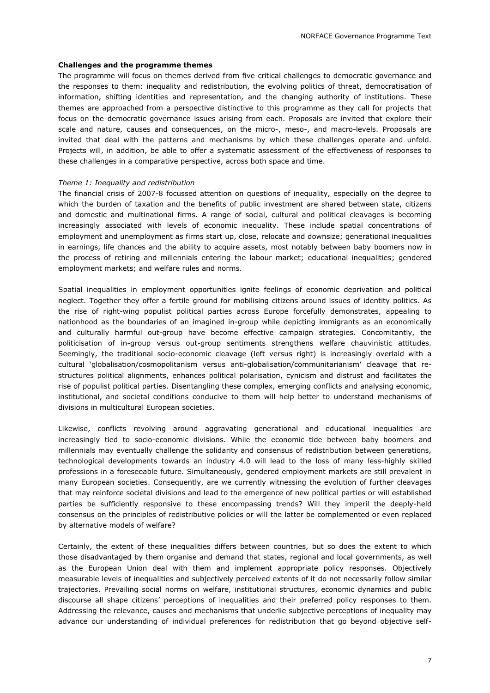# **Challenges and the programme themes**

The programme will focus on themes derived from five critical challenges to democratic governance and the responses to them: inequality and redistribution, the evolving politics of threat, democratisation of information, shifting identities and representation, and the changing authority of institutions. These themes are approached from a perspective distinctive to this programme as they call for projects that focus on the democratic governance issues arising from each. Proposals are invited that explore their scale and nature, causes and consequences, on the micro-, meso-, and macro-levels. Proposals are invited that deal with the patterns and mechanisms by which these challenges operate and unfold. Projects will, in addition, be able to offer a systematic assessment of the effectiveness of responses to these challenges in a comparative perspective, across both space and time.

# *Theme 1: Inequality and redistribution*

The financial crisis of 2007-8 focussed attention on questions of inequality, especially on the degree to which the burden of taxation and the benefits of public investment are shared between state, citizens and domestic and multinational firms. A range of social, cultural and political cleavages is becoming increasingly associated with levels of economic inequality. These include spatial concentrations of employment and unemployment as firms start up, close, relocate and downsize; generational inequalities in earnings, life chances and the ability to acquire assets, most notably between baby boomers now in the process of retiring and millennials entering the labour market; educational inequalities; gendered employment markets; and welfare rules and norms.

Spatial inequalities in employment opportunities ignite feelings of economic deprivation and political neglect. Together they offer a fertile ground for mobilising citizens around issues of identity politics. As the rise of right-wing populist political parties across Europe forcefully demonstrates, appealing to nationhood as the boundaries of an imagined in-group while depicting immigrants as an economically and culturally harmful out-group have become effective campaign strategies. Concomitantly, the politicisation of in-group versus out-group sentiments strengthens welfare chauvinistic attitudes. Seemingly, the traditional socio-economic cleavage (left versus right) is increasingly overlaid with a cultural 'globalisation/cosmopolitanism versus anti-globalisation/communitarianism' cleavage that restructures political alignments, enhances political polarisation, cynicism and distrust and facilitates the rise of populist political parties. Disentangling these complex, emerging conflicts and analysing economic, institutional, and societal conditions conducive to them will help better to understand mechanisms of divisions in multicultural European societies.

Likewise, conflicts revolving around aggravating generational and educational inequalities are increasingly tied to socio-economic divisions. While the economic tide between baby boomers and millennials may eventually challenge the solidarity and consensus of redistribution between generations, technological developments towards an industry 4.0 will lead to the loss of many less-highly skilled professions in a foreseeable future. Simultaneously, gendered employment markets are still prevalent in many European societies. Consequently, are we currently witnessing the evolution of further cleavages that may reinforce societal divisions and lead to the emergence of new political parties or will established parties be sufficiently responsive to these encompassing trends? Will they imperil the deeply-held consensus on the principles of redistributive policies or will the latter be complemented or even replaced by alternative models of welfare?

Certainly, the extent of these inequalities differs between countries, but so does the extent to which those disadvantaged by them organise and demand that states, regional and local governments, as well as the European Union deal with them and implement appropriate policy responses. Objectively measurable levels of inequalities and subjectively perceived extents of it do not necessarily follow similar trajectories. Prevailing social norms on welfare, institutional structures, economic dynamics and public discourse all shape citizens' perceptions of inequalities and their preferred policy responses to them. Addressing the relevance, causes and mechanisms that underlie subjective perceptions of inequality may advance our understanding of individual preferences for redistribution that go beyond objective self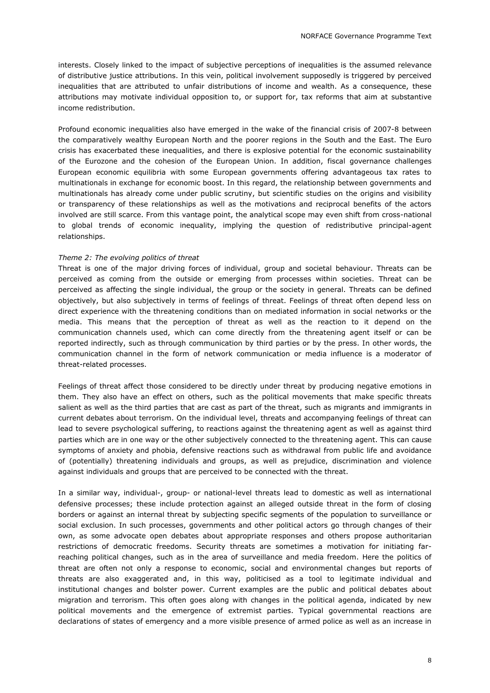interests. Closely linked to the impact of subjective perceptions of inequalities is the assumed relevance of distributive justice attributions. In this vein, political involvement supposedly is triggered by perceived inequalities that are attributed to unfair distributions of income and wealth. As a consequence, these attributions may motivate individual opposition to, or support for, tax reforms that aim at substantive income redistribution.

Profound economic inequalities also have emerged in the wake of the financial crisis of 2007-8 between the comparatively wealthy European North and the poorer regions in the South and the East. The Euro crisis has exacerbated these inequalities, and there is explosive potential for the economic sustainability of the Eurozone and the cohesion of the European Union. In addition, fiscal governance challenges European economic equilibria with some European governments offering advantageous tax rates to multinationals in exchange for economic boost. In this regard, the relationship between governments and multinationals has already come under public scrutiny, but scientific studies on the origins and visibility or transparency of these relationships as well as the motivations and reciprocal benefits of the actors involved are still scarce. From this vantage point, the analytical scope may even shift from cross-national to global trends of economic inequality, implying the question of redistributive principal-agent relationships.

# *Theme 2: The evolving politics of threat*

Threat is one of the major driving forces of individual, group and societal behaviour. Threats can be perceived as coming from the outside or emerging from processes within societies. Threat can be perceived as affecting the single individual, the group or the society in general. Threats can be defined objectively, but also subjectively in terms of feelings of threat. Feelings of threat often depend less on direct experience with the threatening conditions than on mediated information in social networks or the media. This means that the perception of threat as well as the reaction to it depend on the communication channels used, which can come directly from the threatening agent itself or can be reported indirectly, such as through communication by third parties or by the press. In other words, the communication channel in the form of network communication or media influence is a moderator of threat-related processes.

Feelings of threat affect those considered to be directly under threat by producing negative emotions in them. They also have an effect on others, such as the political movements that make specific threats salient as well as the third parties that are cast as part of the threat, such as migrants and immigrants in current debates about terrorism. On the individual level, threats and accompanying feelings of threat can lead to severe psychological suffering, to reactions against the threatening agent as well as against third parties which are in one way or the other subjectively connected to the threatening agent. This can cause symptoms of anxiety and phobia, defensive reactions such as withdrawal from public life and avoidance of (potentially) threatening individuals and groups, as well as prejudice, discrimination and violence against individuals and groups that are perceived to be connected with the threat.

In a similar way, individual-, group- or national-level threats lead to domestic as well as international defensive processes; these include protection against an alleged outside threat in the form of closing borders or against an internal threat by subjecting specific segments of the population to surveillance or social exclusion. In such processes, governments and other political actors go through changes of their own, as some advocate open debates about appropriate responses and others propose authoritarian restrictions of democratic freedoms. Security threats are sometimes a motivation for initiating farreaching political changes, such as in the area of surveillance and media freedom. Here the politics of threat are often not only a response to economic, social and environmental changes but reports of threats are also exaggerated and, in this way, politicised as a tool to legitimate individual and institutional changes and bolster power. Current examples are the public and political debates about migration and terrorism. This often goes along with changes in the political agenda, indicated by new political movements and the emergence of extremist parties. Typical governmental reactions are declarations of states of emergency and a more visible presence of armed police as well as an increase in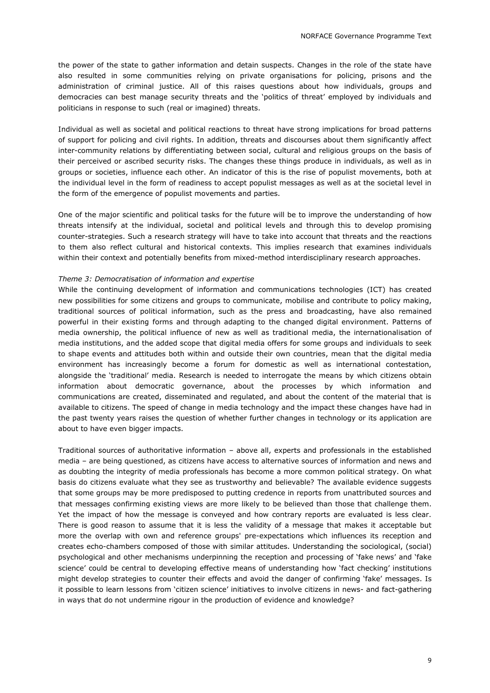the power of the state to gather information and detain suspects. Changes in the role of the state have also resulted in some communities relying on private organisations for policing, prisons and the administration of criminal justice. All of this raises questions about how individuals, groups and democracies can best manage security threats and the 'politics of threat' employed by individuals and politicians in response to such (real or imagined) threats.

Individual as well as societal and political reactions to threat have strong implications for broad patterns of support for policing and civil rights. In addition, threats and discourses about them significantly affect inter-community relations by differentiating between social, cultural and religious groups on the basis of their perceived or ascribed security risks. The changes these things produce in individuals, as well as in groups or societies, influence each other. An indicator of this is the rise of populist movements, both at the individual level in the form of readiness to accept populist messages as well as at the societal level in the form of the emergence of populist movements and parties.

One of the major scientific and political tasks for the future will be to improve the understanding of how threats intensify at the individual, societal and political levels and through this to develop promising counter-strategies. Such a research strategy will have to take into account that threats and the reactions to them also reflect cultural and historical contexts. This implies research that examines individuals within their context and potentially benefits from mixed-method interdisciplinary research approaches.

# *Theme 3: Democratisation of information and expertise*

While the continuing development of information and communications technologies (ICT) has created new possibilities for some citizens and groups to communicate, mobilise and contribute to policy making, traditional sources of political information, such as the press and broadcasting, have also remained powerful in their existing forms and through adapting to the changed digital environment. Patterns of media ownership, the political influence of new as well as traditional media, the internationalisation of media institutions, and the added scope that digital media offers for some groups and individuals to seek to shape events and attitudes both within and outside their own countries, mean that the digital media environment has increasingly become a forum for domestic as well as international contestation, alongside the 'traditional' media. Research is needed to interrogate the means by which citizens obtain information about democratic governance, about the processes by which information and communications are created, disseminated and regulated, and about the content of the material that is available to citizens. The speed of change in media technology and the impact these changes have had in the past twenty years raises the question of whether further changes in technology or its application are about to have even bigger impacts.

Traditional sources of authoritative information – above all, experts and professionals in the established media – are being questioned, as citizens have access to alternative sources of information and news and as doubting the integrity of media professionals has become a more common political strategy. On what basis do citizens evaluate what they see as trustworthy and believable? The available evidence suggests that some groups may be more predisposed to putting credence in reports from unattributed sources and that messages confirming existing views are more likely to be believed than those that challenge them. Yet the impact of how the message is conveyed and how contrary reports are evaluated is less clear. There is good reason to assume that it is less the validity of a message that makes it acceptable but more the overlap with own and reference groups' pre-expectations which influences its reception and creates echo-chambers composed of those with similar attitudes. Understanding the sociological, (social) psychological and other mechanisms underpinning the reception and processing of 'fake news' and 'fake science' could be central to developing effective means of understanding how 'fact checking' institutions might develop strategies to counter their effects and avoid the danger of confirming 'fake' messages. Is it possible to learn lessons from 'citizen science' initiatives to involve citizens in news- and fact-gathering in ways that do not undermine rigour in the production of evidence and knowledge?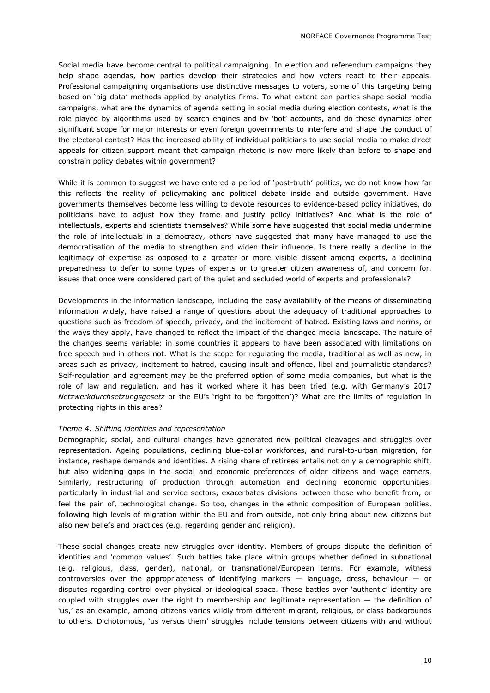Social media have become central to political campaigning. In election and referendum campaigns they help shape agendas, how parties develop their strategies and how voters react to their appeals. Professional campaigning organisations use distinctive messages to voters, some of this targeting being based on 'big data' methods applied by analytics firms. To what extent can parties shape social media campaigns, what are the dynamics of agenda setting in social media during election contests, what is the role played by algorithms used by search engines and by 'bot' accounts, and do these dynamics offer significant scope for major interests or even foreign governments to interfere and shape the conduct of the electoral contest? Has the increased ability of individual politicians to use social media to make direct appeals for citizen support meant that campaign rhetoric is now more likely than before to shape and constrain policy debates within government?

While it is common to suggest we have entered a period of 'post-truth' politics, we do not know how far this reflects the reality of policymaking and political debate inside and outside government. Have governments themselves become less willing to devote resources to evidence-based policy initiatives, do politicians have to adjust how they frame and justify policy initiatives? And what is the role of intellectuals, experts and scientists themselves? While some have suggested that social media undermine the role of intellectuals in a democracy, others have suggested that many have managed to use the democratisation of the media to strengthen and widen their influence. Is there really a decline in the legitimacy of expertise as opposed to a greater or more visible dissent among experts, a declining preparedness to defer to some types of experts or to greater citizen awareness of, and concern for, issues that once were considered part of the quiet and secluded world of experts and professionals?

Developments in the information landscape, including the easy availability of the means of disseminating information widely, have raised a range of questions about the adequacy of traditional approaches to questions such as freedom of speech, privacy, and the incitement of hatred. Existing laws and norms, or the ways they apply, have changed to reflect the impact of the changed media landscape. The nature of the changes seems variable: in some countries it appears to have been associated with limitations on free speech and in others not. What is the scope for regulating the media, traditional as well as new, in areas such as privacy, incitement to hatred, causing insult and offence, libel and journalistic standards? Self-regulation and agreement may be the preferred option of some media companies, but what is the role of law and regulation, and has it worked where it has been tried (e.g. with Germany's 2017 *Netzwerkdurchsetzungsgesetz* or the EU's 'right to be forgotten')? What are the limits of regulation in protecting rights in this area?

# *Theme 4: Shifting identities and representation*

Demographic, social, and cultural changes have generated new political cleavages and struggles over representation. Ageing populations, declining blue-collar workforces, and rural-to-urban migration, for instance, reshape demands and identities. A rising share of retirees entails not only a demographic shift, but also widening gaps in the social and economic preferences of older citizens and wage earners. Similarly, restructuring of production through automation and declining economic opportunities, particularly in industrial and service sectors, exacerbates divisions between those who benefit from, or feel the pain of, technological change. So too, changes in the ethnic composition of European polities, following high levels of migration within the EU and from outside, not only bring about new citizens but also new beliefs and practices (e.g. regarding gender and religion).

These social changes create new struggles over identity. Members of groups dispute the definition of identities and 'common values'. Such battles take place within groups whether defined in subnational (e.g. religious, class, gender), national, or transnational/European terms. For example, witness controversies over the appropriateness of identifying markers  $-$  language, dress, behaviour  $-$  or disputes regarding control over physical or ideological space. These battles over 'authentic' identity are coupled with struggles over the right to membership and legitimate representation — the definition of 'us,' as an example, among citizens varies wildly from different migrant, religious, or class backgrounds to others. Dichotomous, 'us versus them' struggles include tensions between citizens with and without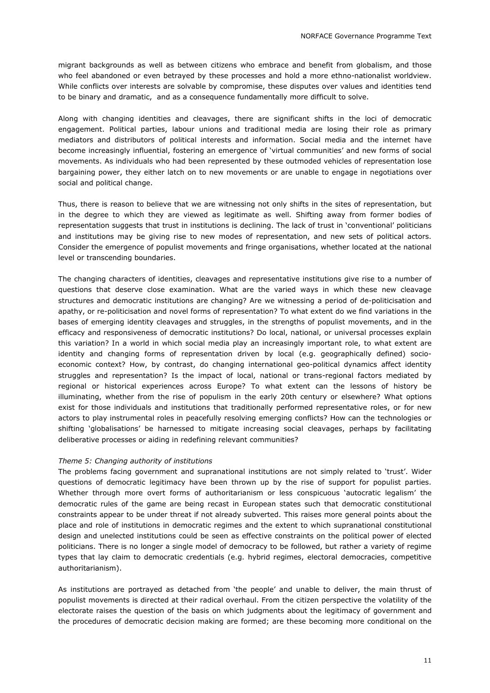migrant backgrounds as well as between citizens who embrace and benefit from globalism, and those who feel abandoned or even betrayed by these processes and hold a more ethno-nationalist worldview. While conflicts over interests are solvable by compromise, these disputes over values and identities tend to be binary and dramatic, and as a consequence fundamentally more difficult to solve.

Along with changing identities and cleavages, there are significant shifts in the loci of democratic engagement. Political parties, labour unions and traditional media are losing their role as primary mediators and distributors of political interests and information. Social media and the internet have become increasingly influential, fostering an emergence of 'virtual communities' and new forms of social movements. As individuals who had been represented by these outmoded vehicles of representation lose bargaining power, they either latch on to new movements or are unable to engage in negotiations over social and political change.

Thus, there is reason to believe that we are witnessing not only shifts in the sites of representation, but in the degree to which they are viewed as legitimate as well. Shifting away from former bodies of representation suggests that trust in institutions is declining. The lack of trust in 'conventional' politicians and institutions may be giving rise to new modes of representation, and new sets of political actors. Consider the emergence of populist movements and fringe organisations, whether located at the national level or transcending boundaries.

The changing characters of identities, cleavages and representative institutions give rise to a number of questions that deserve close examination. What are the varied ways in which these new cleavage structures and democratic institutions are changing? Are we witnessing a period of de-politicisation and apathy, or re-politicisation and novel forms of representation? To what extent do we find variations in the bases of emerging identity cleavages and struggles, in the strengths of populist movements, and in the efficacy and responsiveness of democratic institutions? Do local, national, or universal processes explain this variation? In a world in which social media play an increasingly important role, to what extent are identity and changing forms of representation driven by local (e.g. geographically defined) socioeconomic context? How, by contrast, do changing international geo-political dynamics affect identity struggles and representation? Is the impact of local, national or trans-regional factors mediated by regional or historical experiences across Europe? To what extent can the lessons of history be illuminating, whether from the rise of populism in the early 20th century or elsewhere? What options exist for those individuals and institutions that traditionally performed representative roles, or for new actors to play instrumental roles in peacefully resolving emerging conflicts? How can the technologies or shifting 'globalisations' be harnessed to mitigate increasing social cleavages, perhaps by facilitating deliberative processes or aiding in redefining relevant communities?

### *Theme 5: Changing authority of institutions*

The problems facing government and supranational institutions are not simply related to 'trust'. Wider questions of democratic legitimacy have been thrown up by the rise of support for populist parties. Whether through more overt forms of authoritarianism or less conspicuous 'autocratic legalism' the democratic rules of the game are being recast in European states such that democratic constitutional constraints appear to be under threat if not already subverted. This raises more general points about the place and role of institutions in democratic regimes and the extent to which supranational constitutional design and unelected institutions could be seen as effective constraints on the political power of elected politicians. There is no longer a single model of democracy to be followed, but rather a variety of regime types that lay claim to democratic credentials (e.g. hybrid regimes, electoral democracies, competitive authoritarianism).

As institutions are portrayed as detached from 'the people' and unable to deliver, the main thrust of populist movements is directed at their radical overhaul. From the citizen perspective the volatility of the electorate raises the question of the basis on which judgments about the legitimacy of government and the procedures of democratic decision making are formed; are these becoming more conditional on the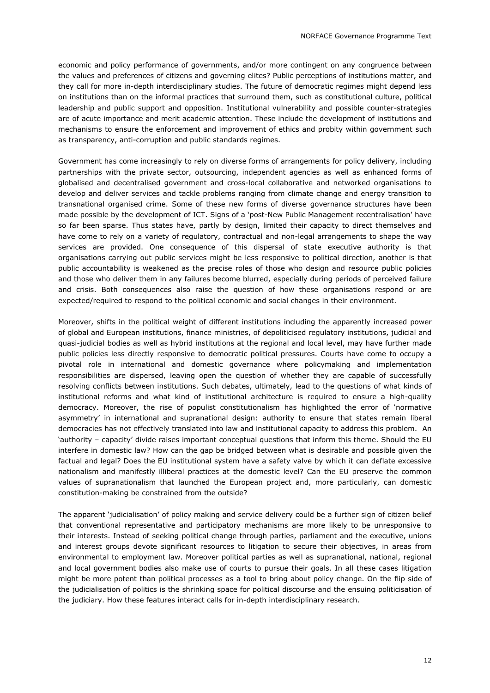economic and policy performance of governments, and/or more contingent on any congruence between the values and preferences of citizens and governing elites? Public perceptions of institutions matter, and they call for more in-depth interdisciplinary studies. The future of democratic regimes might depend less on institutions than on the informal practices that surround them, such as constitutional culture, political leadership and public support and opposition. Institutional vulnerability and possible counter-strategies are of acute importance and merit academic attention. These include the development of institutions and mechanisms to ensure the enforcement and improvement of ethics and probity within government such as transparency, anti-corruption and public standards regimes.

Government has come increasingly to rely on diverse forms of arrangements for policy delivery, including partnerships with the private sector, outsourcing, independent agencies as well as enhanced forms of globalised and decentralised government and cross-local collaborative and networked organisations to develop and deliver services and tackle problems ranging from climate change and energy transition to transnational organised crime. Some of these new forms of diverse governance structures have been made possible by the development of ICT. Signs of a 'post-New Public Management recentralisation' have so far been sparse. Thus states have, partly by design, limited their capacity to direct themselves and have come to rely on a variety of regulatory, contractual and non-legal arrangements to shape the way services are provided. One consequence of this dispersal of state executive authority is that organisations carrying out public services might be less responsive to political direction, another is that public accountability is weakened as the precise roles of those who design and resource public policies and those who deliver them in any failures become blurred, especially during periods of perceived failure and crisis. Both consequences also raise the question of how these organisations respond or are expected/required to respond to the political economic and social changes in their environment.

Moreover, shifts in the political weight of different institutions including the apparently increased power of global and European institutions, finance ministries, of depoliticised regulatory institutions, judicial and quasi-judicial bodies as well as hybrid institutions at the regional and local level, may have further made public policies less directly responsive to democratic political pressures. Courts have come to occupy a pivotal role in international and domestic governance where policymaking and implementation responsibilities are dispersed, leaving open the question of whether they are capable of successfully resolving conflicts between institutions. Such debates, ultimately, lead to the questions of what kinds of institutional reforms and what kind of institutional architecture is required to ensure a high-quality democracy. Moreover, the rise of populist constitutionalism has highlighted the error of 'normative asymmetry' in international and supranational design: authority to ensure that states remain liberal democracies has not effectively translated into law and institutional capacity to address this problem. An 'authority – capacity' divide raises important conceptual questions that inform this theme. Should the EU interfere in domestic law? How can the gap be bridged between what is desirable and possible given the factual and legal? Does the EU institutional system have a safety valve by which it can deflate excessive nationalism and manifestly illiberal practices at the domestic level? Can the EU preserve the common values of supranationalism that launched the European project and, more particularly, can domestic constitution-making be constrained from the outside?

The apparent 'judicialisation' of policy making and service delivery could be a further sign of citizen belief that conventional representative and participatory mechanisms are more likely to be unresponsive to their interests. Instead of seeking political change through parties, parliament and the executive, unions and interest groups devote significant resources to litigation to secure their objectives, in areas from environmental to employment law. Moreover political parties as well as supranational, national, regional and local government bodies also make use of courts to pursue their goals. In all these cases litigation might be more potent than political processes as a tool to bring about policy change. On the flip side of the judicialisation of politics is the shrinking space for political discourse and the ensuing politicisation of the judiciary. How these features interact calls for in-depth interdisciplinary research.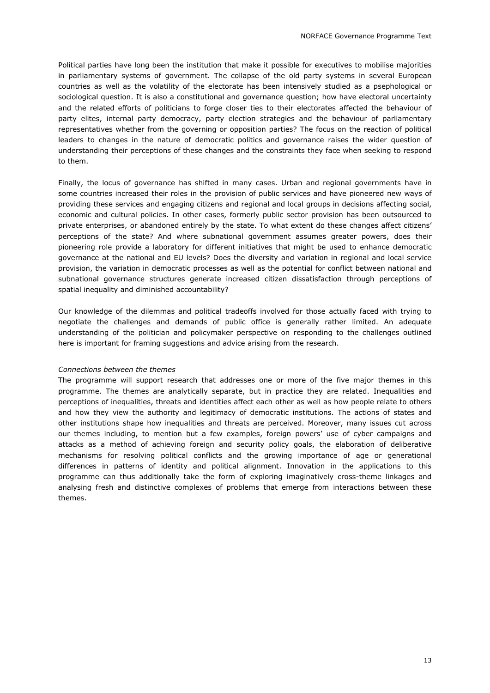Political parties have long been the institution that make it possible for executives to mobilise majorities in parliamentary systems of government. The collapse of the old party systems in several European countries as well as the volatility of the electorate has been intensively studied as a psephological or sociological question. It is also a constitutional and governance question; how have electoral uncertainty and the related efforts of politicians to forge closer ties to their electorates affected the behaviour of party elites, internal party democracy, party election strategies and the behaviour of parliamentary representatives whether from the governing or opposition parties? The focus on the reaction of political leaders to changes in the nature of democratic politics and governance raises the wider question of understanding their perceptions of these changes and the constraints they face when seeking to respond to them.

Finally, the locus of governance has shifted in many cases. Urban and regional governments have in some countries increased their roles in the provision of public services and have pioneered new ways of providing these services and engaging citizens and regional and local groups in decisions affecting social, economic and cultural policies. In other cases, formerly public sector provision has been outsourced to private enterprises, or abandoned entirely by the state. To what extent do these changes affect citizens' perceptions of the state? And where subnational government assumes greater powers, does their pioneering role provide a laboratory for different initiatives that might be used to enhance democratic governance at the national and EU levels? Does the diversity and variation in regional and local service provision, the variation in democratic processes as well as the potential for conflict between national and subnational governance structures generate increased citizen dissatisfaction through perceptions of spatial inequality and diminished accountability?

Our knowledge of the dilemmas and political tradeoffs involved for those actually faced with trying to negotiate the challenges and demands of public office is generally rather limited. An adequate understanding of the politician and policymaker perspective on responding to the challenges outlined here is important for framing suggestions and advice arising from the research.

### *Connections between the themes*

The programme will support research that addresses one or more of the five major themes in this programme. The themes are analytically separate, but in practice they are related. Inequalities and perceptions of inequalities, threats and identities affect each other as well as how people relate to others and how they view the authority and legitimacy of democratic institutions. The actions of states and other institutions shape how inequalities and threats are perceived. Moreover, many issues cut across our themes including, to mention but a few examples, foreign powers' use of cyber campaigns and attacks as a method of achieving foreign and security policy goals, the elaboration of deliberative mechanisms for resolving political conflicts and the growing importance of age or generational differences in patterns of identity and political alignment. Innovation in the applications to this programme can thus additionally take the form of exploring imaginatively cross-theme linkages and analysing fresh and distinctive complexes of problems that emerge from interactions between these themes.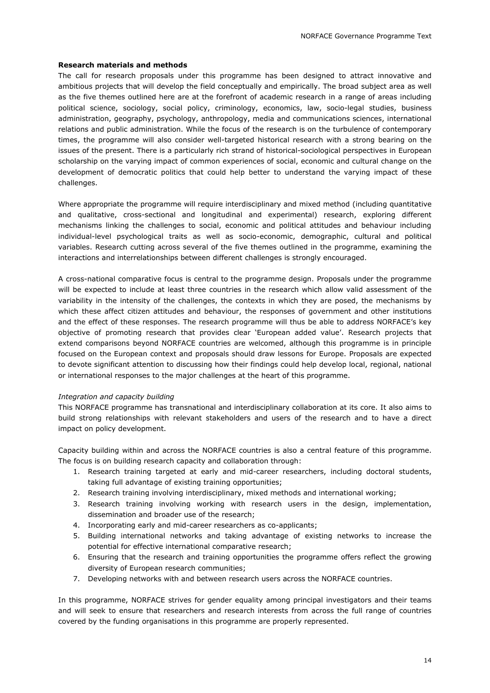# **Research materials and methods**

The call for research proposals under this programme has been designed to attract innovative and ambitious projects that will develop the field conceptually and empirically. The broad subject area as well as the five themes outlined here are at the forefront of academic research in a range of areas including political science, sociology, social policy, criminology, economics, law, socio-legal studies, business administration, geography, psychology, anthropology, media and communications sciences, international relations and public administration. While the focus of the research is on the turbulence of contemporary times, the programme will also consider well-targeted historical research with a strong bearing on the issues of the present. There is a particularly rich strand of historical-sociological perspectives in European scholarship on the varying impact of common experiences of social, economic and cultural change on the development of democratic politics that could help better to understand the varying impact of these challenges.

Where appropriate the programme will require interdisciplinary and mixed method (including quantitative and qualitative, cross-sectional and longitudinal and experimental) research, exploring different mechanisms linking the challenges to social, economic and political attitudes and behaviour including individual-level psychological traits as well as socio-economic, demographic, cultural and political variables. Research cutting across several of the five themes outlined in the programme, examining the interactions and interrelationships between different challenges is strongly encouraged.

A cross-national comparative focus is central to the programme design. Proposals under the programme will be expected to include at least three countries in the research which allow valid assessment of the variability in the intensity of the challenges, the contexts in which they are posed, the mechanisms by which these affect citizen attitudes and behaviour, the responses of government and other institutions and the effect of these responses. The research programme will thus be able to address NORFACE's key objective of promoting research that provides clear 'European added value'. Research projects that extend comparisons beyond NORFACE countries are welcomed, although this programme is in principle focused on the European context and proposals should draw lessons for Europe. Proposals are expected to devote significant attention to discussing how their findings could help develop local, regional, national or international responses to the major challenges at the heart of this programme.

### *Integration and capacity building*

This NORFACE programme has transnational and interdisciplinary collaboration at its core. It also aims to build strong relationships with relevant stakeholders and users of the research and to have a direct impact on policy development.

Capacity building within and across the NORFACE countries is also a central feature of this programme. The focus is on building research capacity and collaboration through:

- 1. Research training targeted at early and mid-career researchers, including doctoral students, taking full advantage of existing training opportunities;
- 2. Research training involving interdisciplinary, mixed methods and international working;
- 3. Research training involving working with research users in the design, implementation, dissemination and broader use of the research;
- 4. Incorporating early and mid-career researchers as co-applicants;
- 5. Building international networks and taking advantage of existing networks to increase the potential for effective international comparative research;
- 6. Ensuring that the research and training opportunities the programme offers reflect the growing diversity of European research communities;
- 7. Developing networks with and between research users across the NORFACE countries.

In this programme, NORFACE strives for gender equality among principal investigators and their teams and will seek to ensure that researchers and research interests from across the full range of countries covered by the funding organisations in this programme are properly represented.